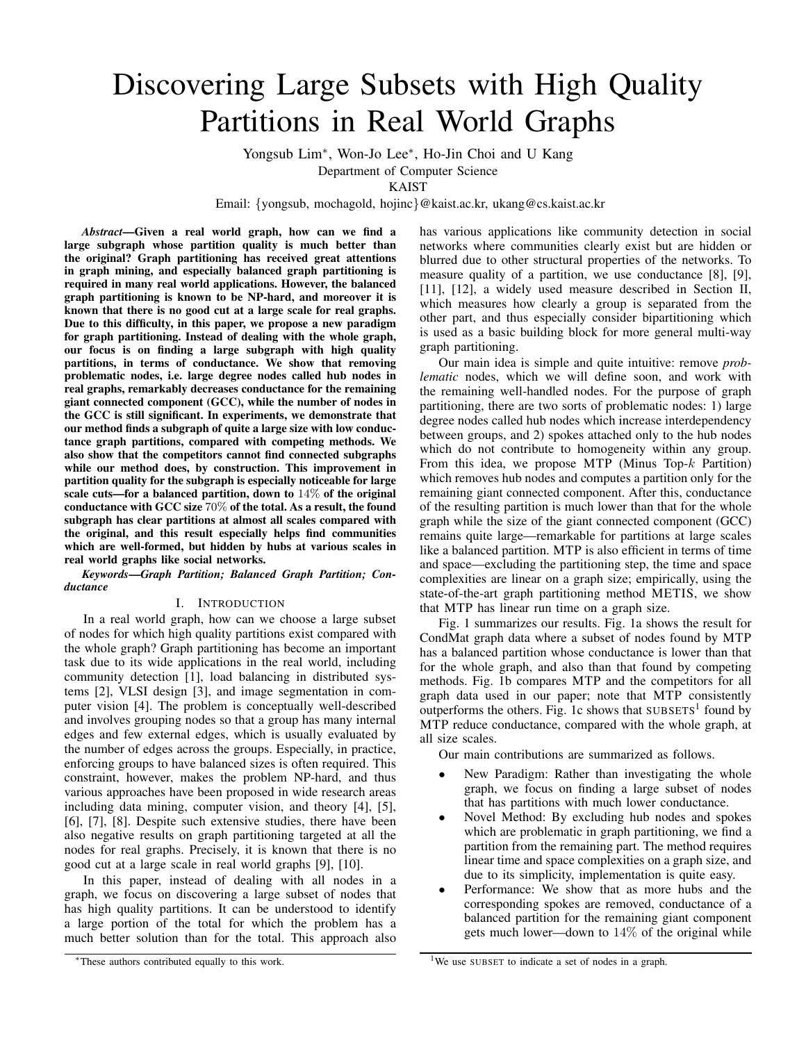# Discovering Large Subsets with High Quality Partitions in Real World Graphs

Yongsub Lim<sup>∗</sup> , Won-Jo Lee<sup>∗</sup> , Ho-Jin Choi and U Kang

Department of Computer Science

KAIST

Email: {yongsub, mochagold, hojinc}@kaist.ac.kr, ukang@cs.kaist.ac.kr

*Abstract*—Given a real world graph, how can we find a large subgraph whose partition quality is much better than the original? Graph partitioning has received great attentions in graph mining, and especially balanced graph partitioning is required in many real world applications. However, the balanced graph partitioning is known to be NP-hard, and moreover it is known that there is no good cut at a large scale for real graphs. Due to this difficulty, in this paper, we propose a new paradigm for graph partitioning. Instead of dealing with the whole graph, our focus is on finding a large subgraph with high quality partitions, in terms of conductance. We show that removing problematic nodes, i.e. large degree nodes called hub nodes in real graphs, remarkably decreases conductance for the remaining giant connected component (GCC), while the number of nodes in the GCC is still significant. In experiments, we demonstrate that our method finds a subgraph of quite a large size with low conductance graph partitions, compared with competing methods. We also show that the competitors cannot find connected subgraphs while our method does, by construction. This improvement in partition quality for the subgraph is especially noticeable for large scale cuts—for a balanced partition, down to 14% of the original conductance with GCC size 70% of the total. As a result, the found subgraph has clear partitions at almost all scales compared with the original, and this result especially helps find communities which are well-formed, but hidden by hubs at various scales in real world graphs like social networks.

*Keywords*—*Graph Partition; Balanced Graph Partition; Conductance*

#### I. INTRODUCTION

In a real world graph, how can we choose a large subset of nodes for which high quality partitions exist compared with the whole graph? Graph partitioning has become an important task due to its wide applications in the real world, including community detection [1], load balancing in distributed systems [2], VLSI design [3], and image segmentation in computer vision [4]. The problem is conceptually well-described and involves grouping nodes so that a group has many internal edges and few external edges, which is usually evaluated by the number of edges across the groups. Especially, in practice, enforcing groups to have balanced sizes is often required. This constraint, however, makes the problem NP-hard, and thus various approaches have been proposed in wide research areas including data mining, computer vision, and theory [4], [5], [6], [7], [8]. Despite such extensive studies, there have been also negative results on graph partitioning targeted at all the nodes for real graphs. Precisely, it is known that there is no good cut at a large scale in real world graphs [9], [10].

In this paper, instead of dealing with all nodes in a graph, we focus on discovering a large subset of nodes that has high quality partitions. It can be understood to identify a large portion of the total for which the problem has a much better solution than for the total. This approach also

has various applications like community detection in social networks where communities clearly exist but are hidden or blurred due to other structural properties of the networks. To measure quality of a partition, we use conductance [8], [9], [11], [12], a widely used measure described in Section II, which measures how clearly a group is separated from the other part, and thus especially consider bipartitioning which is used as a basic building block for more general multi-way graph partitioning.

Our main idea is simple and quite intuitive: remove *problematic* nodes, which we will define soon, and work with the remaining well-handled nodes. For the purpose of graph partitioning, there are two sorts of problematic nodes: 1) large degree nodes called hub nodes which increase interdependency between groups, and 2) spokes attached only to the hub nodes which do not contribute to homogeneity within any group. From this idea, we propose MTP (Minus Top- $k$  Partition) which removes hub nodes and computes a partition only for the remaining giant connected component. After this, conductance of the resulting partition is much lower than that for the whole graph while the size of the giant connected component (GCC) remains quite large—remarkable for partitions at large scales like a balanced partition. MTP is also efficient in terms of time and space—excluding the partitioning step, the time and space complexities are linear on a graph size; empirically, using the state-of-the-art graph partitioning method METIS, we show that MTP has linear run time on a graph size.

Fig. 1 summarizes our results. Fig. 1a shows the result for CondMat graph data where a subset of nodes found by MTP has a balanced partition whose conductance is lower than that for the whole graph, and also than that found by competing methods. Fig. 1b compares MTP and the competitors for all graph data used in our paper; note that MTP consistently outperforms the others. Fig. 1c shows that  $SUBSETS<sup>1</sup>$  found by MTP reduce conductance, compared with the whole graph, at all size scales.

Our main contributions are summarized as follows.

- New Paradigm: Rather than investigating the whole graph, we focus on finding a large subset of nodes that has partitions with much lower conductance.
- Novel Method: By excluding hub nodes and spokes which are problematic in graph partitioning, we find a partition from the remaining part. The method requires linear time and space complexities on a graph size, and due to its simplicity, implementation is quite easy.
- Performance: We show that as more hubs and the corresponding spokes are removed, conductance of a balanced partition for the remaining giant component gets much lower—down to 14% of the original while

<sup>∗</sup>These authors contributed equally to this work.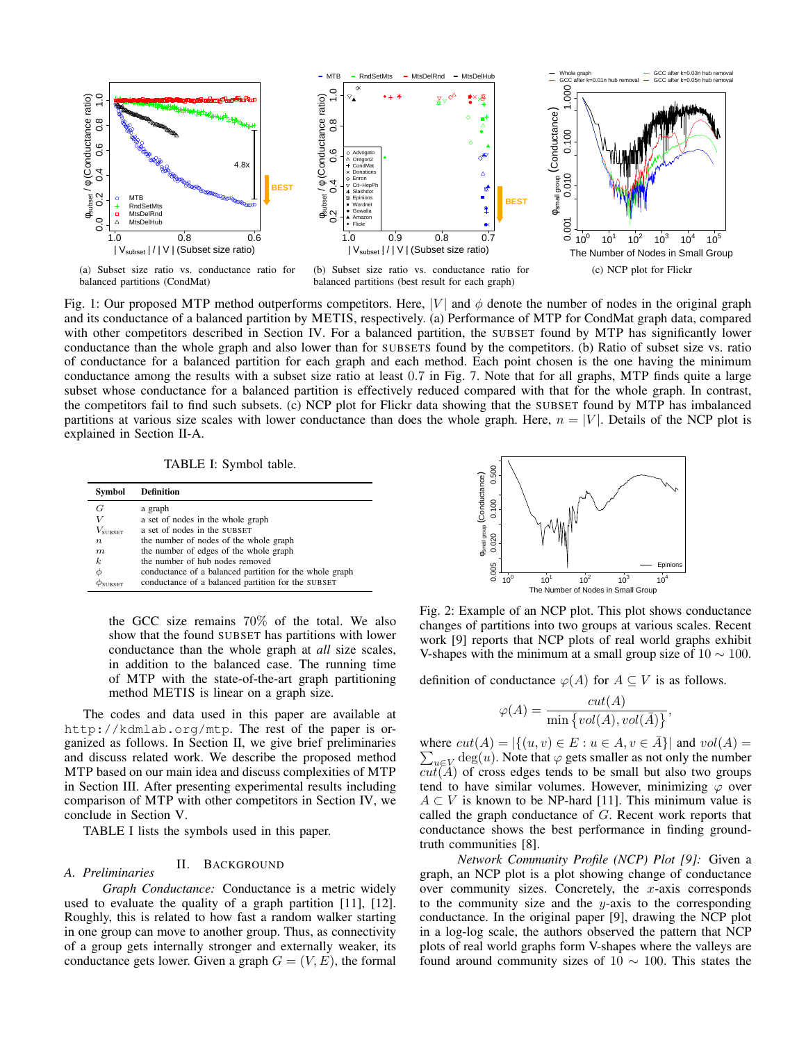

Fig. 1: Our proposed MTP method outperforms competitors. Here,  $|V|$  and  $\phi$  denote the number of nodes in the original graph and its conductance of a balanced partition by METIS, respectively. (a) Performance of MTP for CondMat graph data, compared with other competitors described in Section IV. For a balanced partition, the SUBSET found by MTP has significantly lower conductance than the whole graph and also lower than for SUBSETS found by the competitors. (b) Ratio of subset size vs. ratio of conductance for a balanced partition for each graph and each method. Each point chosen is the one having the minimum conductance among the results with a subset size ratio at least 0.7 in Fig. 7. Note that for all graphs, MTP finds quite a large subset whose conductance for a balanced partition is effectively reduced compared with that for the whole graph. In contrast, the competitors fail to find such subsets. (c) NCP plot for Flickr data showing that the SUBSET found by MTP has imbalanced partitions at various size scales with lower conductance than does the whole graph. Here,  $n = |V|$ . Details of the NCP plot is explained in Section II-A.

TABLE I: Symbol table.

| Symbol           | <b>Definition</b>                                       |
|------------------|---------------------------------------------------------|
| G                | a graph                                                 |
| V                | a set of nodes in the whole graph                       |
| $V_{\rm subset}$ | a set of nodes in the SUBSET                            |
| $\boldsymbol{n}$ | the number of nodes of the whole graph                  |
| m                | the number of edges of the whole graph                  |
| $\boldsymbol{k}$ | the number of hub nodes removed                         |
| Φ                | conductance of a balanced partition for the whole graph |
|                  | conductance of a balanced partition for the SUBSET      |

the GCC size remains 70% of the total. We also show that the found SUBSET has partitions with lower conductance than the whole graph at *all* size scales, in addition to the balanced case. The running time of MTP with the state-of-the-art graph partitioning method METIS is linear on a graph size.

The codes and data used in this paper are available at http://kdmlab.org/mtp. The rest of the paper is organized as follows. In Section II, we give brief preliminaries and discuss related work. We describe the proposed method MTP based on our main idea and discuss complexities of MTP in Section III. After presenting experimental results including comparison of MTP with other competitors in Section IV, we conclude in Section V. **Symbol Definite a**<br>  $\frac{1}{C}$  a graph  $\frac{1}{C}$  a graph  $\frac{1}{C}$  a graph  $\frac{1}{C}$  a graph  $\frac{1}{C}$  a set of nodes in the synter buse graph  $\frac{1}{C}$  becomes the syntech and the weak of a because of a band of particula

TABLE I lists the symbols used in this paper.

# II. BACKGROUND *A. Preliminaries*

*Graph Conductance:* Conductance is a metric widely used to evaluate the quality of a graph partition [11], [12]. Roughly, this is related to how fast a random walker starting in one group can move to another group. Thus, as connectivity of a group gets internally stronger and externally weaker, its



Fig. 2: Example of an NCP plot. This plot shows conductance changes of partitions into two groups at various scales. Recent work [9] reports that NCP plots of real world graphs exhibit V-shapes with the minimum at a small group size of  $10 \sim 100$ .

definition of conductance  $\varphi(A)$  for  $A \subseteq V$  is as follows.

$$
\varphi(A) = \frac{cut(A)}{\min \{vol(A), vol(\bar{A})\}},
$$

where  $cut(A) = |\{(u, v) \in E : u \in A, v \in \overline{A}\}|$  and  $vol(A) =$  $\sum_{u \in V} \deg(u)$ . Note that  $\varphi$  gets smaller as not only the number  $cut(A)$  of cross edges tends to be small but also two groups tend to have similar volumes. However, minimizing  $\varphi$  over  $A \subset V$  is known to be NP-hard [11]. This minimum value is called the graph conductance of G. Recent work reports that conductance shows the best performance in finding groundtruth communities [8].

*Network Community Profile (NCP) Plot [9]:* Given a graph, an NCP plot is a plot showing change of conductance over community sizes. Concretely, the  $x$ -axis corresponds to the community size and the  $y$ -axis to the corresponding conductance. In the original paper [9], drawing the NCP plot in a log-log scale, the authors observed the pattern that NCP plots of real world graphs form V-shapes where the valleys are found around community sizes of 10  $\sim$  100. This states the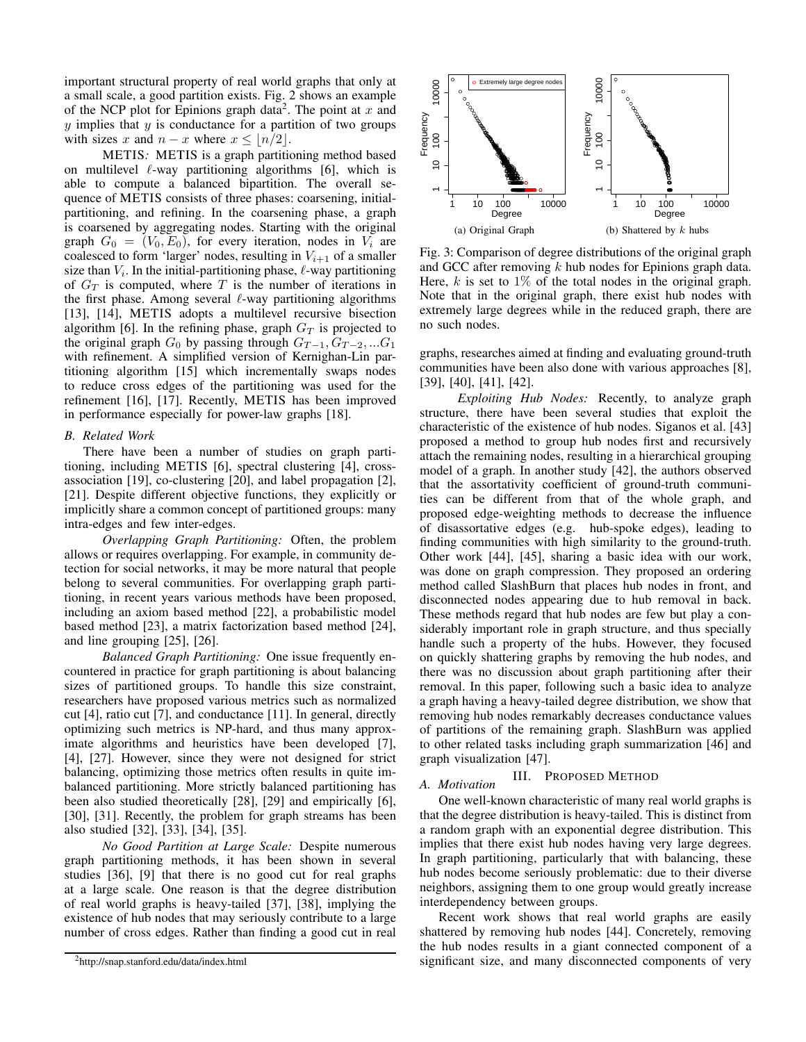important structural property of real world graphs that only at a small scale, a good partition exists. Fig. 2 shows an example of the NCP plot for Epinions graph data<sup>2</sup>. The point at  $x$  and  $y$  implies that  $y$  is conductance for a partition of two groups with sizes x and  $n - x$  where  $x \leq \lfloor n/2 \rfloor$ .

METIS*:* METIS is a graph partitioning method based on multilevel  $\ell$ -way partitioning algorithms [6], which is able to compute a balanced bipartition. The overall sequence of METIS consists of three phases: coarsening, initialpartitioning, and refining. In the coarsening phase, a graph is coarsened by aggregating nodes. Starting with the original graph  $G_0 = (V_0, E_0)$ , for every iteration, nodes in  $V_i$  are coalesced to form 'larger' nodes, resulting in  $V_{i+1}$  of a smaller size than  $V_i$ . In the initial-partitioning phase,  $\ell$ -way partitioning of  $G_T$  is computed, where T is the number of iterations in the first phase. Among several  $\ell$ -way partitioning algorithms [13], [14], METIS adopts a multilevel recursive bisection algorithm [6]. In the refining phase, graph  $G_T$  is projected to the original graph  $G_0$  by passing through  $G_{T-1}, G_{T-2},...G_1$ with refinement. A simplified version of Kernighan-Lin partitioning algorithm [15] which incrementally swaps nodes to reduce cross edges of the partitioning was used for the refinement [16], [17]. Recently, METIS has been improved in performance especially for power-law graphs [18].

#### *B. Related Work*

There have been a number of studies on graph partitioning, including METIS [6], spectral clustering [4], crossassociation [19], co-clustering [20], and label propagation [2], [21]. Despite different objective functions, they explicitly or implicitly share a common concept of partitioned groups: many intra-edges and few inter-edges.

*Overlapping Graph Partitioning:* Often, the problem allows or requires overlapping. For example, in community detection for social networks, it may be more natural that people belong to several communities. For overlapping graph partitioning, in recent years various methods have been proposed, including an axiom based method [22], a probabilistic model based method [23], a matrix factorization based method [24], and line grouping [25], [26].

*Balanced Graph Partitioning:* One issue frequently encountered in practice for graph partitioning is about balancing sizes of partitioned groups. To handle this size constraint, researchers have proposed various metrics such as normalized cut [4], ratio cut [7], and conductance [11]. In general, directly optimizing such metrics is NP-hard, and thus many approximate algorithms and heuristics have been developed [7], [4], [27]. However, since they were not designed for strict balancing, optimizing those metrics often results in quite imbalanced partitioning. More strictly balanced partitioning has been also studied theoretically [28], [29] and empirically [6], [30], [31]. Recently, the problem for graph streams has been also studied [32], [33], [34], [35].

*No Good Partition at Large Scale:* Despite numerous graph partitioning methods, it has been shown in several studies [36], [9] that there is no good cut for real graphs at a large scale. One reason is that the degree distribution of real world graphs is heavy-tailed [37], [38], implying the existence of hub nodes that may seriously contribute to a large number of cross edges. Rather than finding a good cut in real



Fig. 3: Comparison of degree distributions of the original graph and GCC after removing k hub nodes for Epinions graph data. Here, k is set to  $1\%$  of the total nodes in the original graph. Note that in the original graph, there exist hub nodes with extremely large degrees while in the reduced graph, there are no such nodes.

graphs, researches aimed at finding and evaluating ground-truth communities have been also done with various approaches [8], [39], [40], [41], [42].

*Exploiting Hub Nodes:* Recently, to analyze graph structure, there have been several studies that exploit the characteristic of the existence of hub nodes. Siganos et al. [43] proposed a method to group hub nodes first and recursively attach the remaining nodes, resulting in a hierarchical grouping model of a graph. In another study [42], the authors observed that the assortativity coefficient of ground-truth communities can be different from that of the whole graph, and proposed edge-weighting methods to decrease the influence of disassortative edges (e.g. hub-spoke edges), leading to finding communities with high similarity to the ground-truth. Other work [44], [45], sharing a basic idea with our work, was done on graph compression. They proposed an ordering method called SlashBurn that places hub nodes in front, and disconnected nodes appearing due to hub removal in back. These methods regard that hub nodes are few but play a considerably important role in graph structure, and thus specially handle such a property of the hubs. However, they focused on quickly shattering graphs by removing the hub nodes, and there was no discussion about graph partitioning after their removal. In this paper, following such a basic idea to analyze a graph having a heavy-tailed degree distribution, we show that removing hub nodes remarkably decreases conductance values of partitions of the remaining graph. SlashBurn was applied to other related tasks including graph summarization [46] and graph visualization [47].

# III. PROPOSED <sup>M</sup>ETHOD *A. Motivation*

One well-known characteristic of many real world graphs is that the degree distribution is heavy-tailed. This is distinct from a random graph with an exponential degree distribution. This implies that there exist hub nodes having very large degrees. In graph partitioning, particularly that with balancing, these hub nodes become seriously problematic: due to their diverse neighbors, assigning them to one group would greatly increase interdependency between groups.

Recent work shows that real world graphs are easily shattered by removing hub nodes [44]. Concretely, removing the hub nodes results in a giant connected component of a significant size, and many disconnected components of very

<sup>2</sup>http://snap.stanford.edu/data/index.html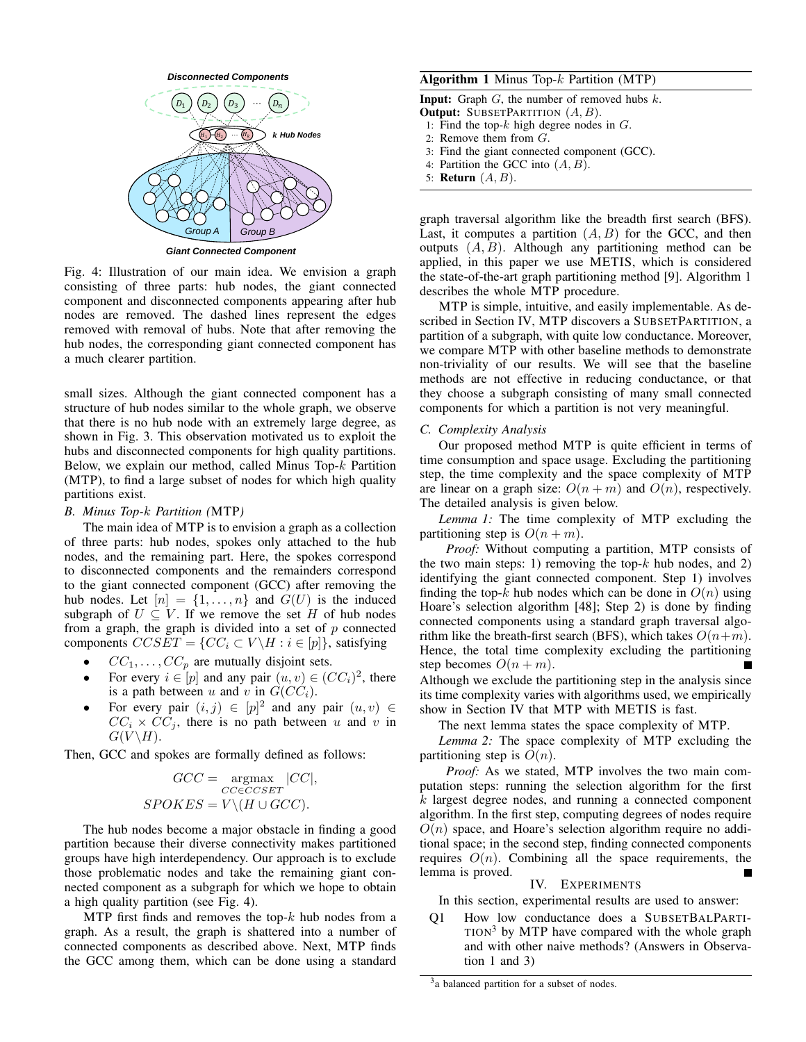

*Giant Connected Component*

Fig. 4: Illustration of our main idea. We envision a graph consisting of three parts: hub nodes, the giant connected component and disconnected components appearing after hub nodes are removed. The dashed lines represent the edges removed with removal of hubs. Note that after removing the hub nodes, the corresponding giant connected component has a much clearer partition.

small sizes. Although the giant connected component has a structure of hub nodes similar to the whole graph, we observe that there is no hub node with an extremely large degree, as shown in Fig. 3. This observation motivated us to exploit the hubs and disconnected components for high quality partitions. Below, we explain our method, called Minus Top-k Partition (MTP), to find a large subset of nodes for which high quality partitions exist.

#### *B. Minus Top-*k *Partition (*MTP*)*

The main idea of MTP is to envision a graph as a collection of three parts: hub nodes, spokes only attached to the hub nodes, and the remaining part. Here, the spokes correspond to disconnected components and the remainders correspond to the giant connected component (GCC) after removing the hub nodes. Let  $[n] = \{1, \ldots, n\}$  and  $G(U)$  is the induced subgraph of  $U \subseteq V$ . If we remove the set H of hub nodes from a graph, the graph is divided into a set of  $p$  connected components  $CCSET = \{CC_i \subset V \setminus H : i \in [p]\}$ , satisfying

- $CC_1, \ldots, CC_p$  are mutually disjoint sets.
- For every  $i \in [p]$  and any pair  $(u, v) \in (CC_i)^2$ , there is a path between u and v in  $G(CC<sub>i</sub>)$ .
- For every pair  $(i, j) \in [p]^2$  and any pair  $(u, v) \in$  $CC_i \times CC_j$ , there is no path between u and v in  $G(V\backslash H)$ .

Then, GCC and spokes are formally defined as follows:

$$
GCC = \underset{CC \in CCSET}{\text{argmax}} |CC|,
$$
  
SPOKES = V \ (H \cup GCC).

The hub nodes become a major obstacle in finding a good partition because their diverse connectivity makes partitioned groups have high interdependency. Our approach is to exclude those problematic nodes and take the remaining giant connected component as a subgraph for which we hope to obtain a high quality partition (see Fig. 4).

MTP first finds and removes the top- $k$  hub nodes from a graph. As a result, the graph is shattered into a number of connected components as described above. Next, MTP finds the GCC among them, which can be done using a standard

### Algorithm 1 Minus Top- $k$  Partition (MTP)

**Input:** Graph  $G$ , the number of removed hubs  $k$ . **Output:** SUBSETPARTITION  $(A, B)$ .

- 1: Find the top- $k$  high degree nodes in  $G$ .
- 
- 2: Remove them from G.
- 3: Find the giant connected component (GCC).
- 4: Partition the GCC into  $(A, B)$ .
- 5: Return  $(A, B)$ .

graph traversal algorithm like the breadth first search (BFS). Last, it computes a partition  $(A, B)$  for the GCC, and then outputs  $(A, B)$ . Although any partitioning method can be applied, in this paper we use METIS, which is considered the state-of-the-art graph partitioning method [9]. Algorithm 1 describes the whole MTP procedure.

MTP is simple, intuitive, and easily implementable. As described in Section IV, MTP discovers a SUBSETPARTITION, a partition of a subgraph, with quite low conductance. Moreover, we compare MTP with other baseline methods to demonstrate non-triviality of our results. We will see that the baseline methods are not effective in reducing conductance, or that they choose a subgraph consisting of many small connected components for which a partition is not very meaningful.

#### *C. Complexity Analysis*

Our proposed method MTP is quite efficient in terms of time consumption and space usage. Excluding the partitioning step, the time complexity and the space complexity of MTP are linear on a graph size:  $O(n+m)$  and  $O(n)$ , respectively. The detailed analysis is given below.

*Lemma 1:* The time complexity of MTP excluding the partitioning step is  $O(n + m)$ .

*Proof:* Without computing a partition, MTP consists of the two main steps: 1) removing the top- $k$  hub nodes, and 2) identifying the giant connected component. Step 1) involves finding the top-k hub nodes which can be done in  $O(n)$  using Hoare's selection algorithm [48]; Step 2) is done by finding connected components using a standard graph traversal algorithm like the breath-first search (BFS), which takes  $O(n+m)$ . Hence, the total time complexity excluding the partitioning step becomes  $O(n + m)$ .

Although we exclude the partitioning step in the analysis since its time complexity varies with algorithms used, we empirically show in Section IV that MTP with METIS is fast.

The next lemma states the space complexity of MTP.

*Lemma 2:* The space complexity of MTP excluding the partitioning step is  $O(n)$ .

*Proof:* As we stated, MTP involves the two main computation steps: running the selection algorithm for the first k largest degree nodes, and running a connected component algorithm. In the first step, computing degrees of nodes require  $O(n)$  space, and Hoare's selection algorithm require no additional space; in the second step, finding connected components requires  $O(n)$ . Combining all the space requirements, the lemma is proved.

#### IV. EXPERIMENTS

In this section, experimental results are used to answer:

Q1 How low conductance does a SUBSETBALPARTI- $TION<sup>3</sup>$  by MTP have compared with the whole graph and with other naive methods? (Answers in Observation 1 and 3)

<sup>&</sup>lt;sup>3</sup>a balanced partition for a subset of nodes.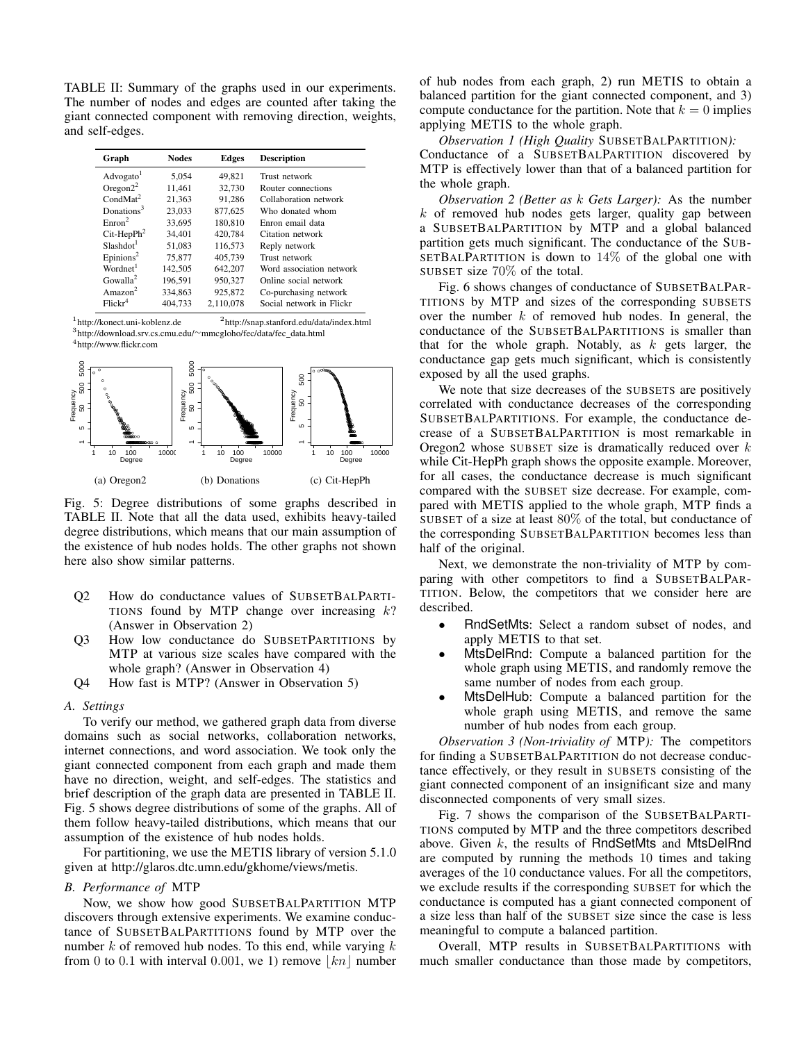TABLE II: Summary of the graphs used in our experiments. The number of nodes and edges are counted after taking the giant connected component with removing direction, weights, and self-edges.

| Graph                  | <b>Nodes</b> | <b>Edges</b> | <b>Description</b>       |
|------------------------|--------------|--------------|--------------------------|
| Advogato <sup>1</sup>  | 5.054        | 49,821       | Trust network            |
| Oregon $2^2$           | 11.461       | 32,730       | Router connections       |
| CondMat <sup>2</sup>   | 21.363       | 91.286       | Collaboration network    |
| Donations <sup>3</sup> | 23,033       | 877,625      | Who donated whom         |
| Enron <sup>2</sup>     | 33.695       | 180,810      | Enron email data         |
| $Cit$ -Hep $Ph2$       | 34.401       | 420.784      | Citation network         |
| Slashdot <sup>1</sup>  | 51,083       | 116,573      | Reply network            |
| Epinions <sup>2</sup>  | 75,877       | 405,739      | Trust network            |
| Wordnet <sup>1</sup>   | 142,505      | 642.207      | Word association network |
| Gowalla <sup>2</sup>   | 196.591      | 950,327      | Online social network    |
| Amazon <sup>2</sup>    | 334,863      | 925,872      | Co-purchasing network    |
| Flickr <sup>4</sup>    | 404,733      | 2,110,078    | Social network in Flickr |

<sup>1</sup> http://konect.uni-koblenz.de <sup>2</sup> http://snap.stanford.edu/data/index.html <sup>3</sup>http://download.srv.cs.cmu.edu/∼mmcgloho/fec/data/fec\_data.html

4 http://www.flickr.com



Fig. 5: Degree distributions of some graphs described in TABLE II. Note that all the data used, exhibits heavy-tailed degree distributions, which means that our main assumption of the existence of hub nodes holds. The other graphs not shown here also show similar patterns.

- Q2 How do conductance values of SUBSETBALPARTI-TIONS found by MTP change over increasing  $k$ ? (Answer in Observation 2)
- Q3 How low conductance do SUBSETPARTITIONS by MTP at various size scales have compared with the whole graph? (Answer in Observation 4)
- Q4 How fast is MTP? (Answer in Observation 5)

#### *A. Settings*

To verify our method, we gathered graph data from diverse domains such as social networks, collaboration networks, internet connections, and word association. We took only the giant connected component from each graph and made them have no direction, weight, and self-edges. The statistics and brief description of the graph data are presented in TABLE II. Fig. 5 shows degree distributions of some of the graphs. All of them follow heavy-tailed distributions, which means that our assumption of the existence of hub nodes holds.

For partitioning, we use the METIS library of version 5.1.0 given at http://glaros.dtc.umn.edu/gkhome/views/metis.

#### *B. Performance of* MTP

Now, we show how good SUBSETBALPARTITION MTP discovers through extensive experiments. We examine conductance of SUBSETBALPARTITIONS found by MTP over the number  $k$  of removed hub nodes. To this end, while varying  $k$ from 0 to 0.1 with interval 0.001, we 1) remove  $|kn|$  number of hub nodes from each graph, 2) run METIS to obtain a balanced partition for the giant connected component, and 3) compute conductance for the partition. Note that  $k = 0$  implies applying METIS to the whole graph.

*Observation 1 (High Quality* SUBSETBALPARTITION*):* Conductance of a SUBSETBALPARTITION discovered by MTP is effectively lower than that of a balanced partition for the whole graph.

*Observation 2 (Better as* k *Gets Larger):* As the number  $k$  of removed hub nodes gets larger, quality gap between a SUBSETBALPARTITION by MTP and a global balanced partition gets much significant. The conductance of the SUB-SETBALPARTITION is down to 14% of the global one with SUBSET size 70% of the total.

Fig. 6 shows changes of conductance of SUBSETBALPAR-TITIONS by MTP and sizes of the corresponding SUBSETS over the number  $k$  of removed hub nodes. In general, the conductance of the SUBSETBALPARTITIONS is smaller than that for the whole graph. Notably, as  $k$  gets larger, the conductance gap gets much significant, which is consistently exposed by all the used graphs.

We note that size decreases of the SUBSETS are positively correlated with conductance decreases of the corresponding SUBSETBALPARTITIONS. For example, the conductance decrease of a SUBSETBALPARTITION is most remarkable in Oregon2 whose SUBSET size is dramatically reduced over  $k$ while Cit-HepPh graph shows the opposite example. Moreover, for all cases, the conductance decrease is much significant compared with the SUBSET size decrease. For example, compared with METIS applied to the whole graph, MTP finds a SUBSET of a size at least 80% of the total, but conductance of the corresponding SUBSETBALPARTITION becomes less than half of the original.

Next, we demonstrate the non-triviality of MTP by comparing with other competitors to find a SUBSETBALPAR-TITION. Below, the competitors that we consider here are described.

- RndSetMts: Select a random subset of nodes, and apply METIS to that set.
- MtsDelRnd: Compute a balanced partition for the whole graph using METIS, and randomly remove the same number of nodes from each group.
- MtsDelHub: Compute a balanced partition for the whole graph using METIS, and remove the same number of hub nodes from each group.

*Observation 3 (Non-triviality of* MTP*):* The competitors for finding a SUBSETBALPARTITION do not decrease conductance effectively, or they result in SUBSETS consisting of the giant connected component of an insignificant size and many disconnected components of very small sizes.

Fig. 7 shows the comparison of the SUBSETBALPARTI-TIONS computed by MTP and the three competitors described above. Given  $k$ , the results of RndSetMts and MtsDelRnd are computed by running the methods 10 times and taking averages of the 10 conductance values. For all the competitors, we exclude results if the corresponding SUBSET for which the conductance is computed has a giant connected component of a size less than half of the SUBSET size since the case is less meaningful to compute a balanced partition.

Overall, MTP results in SUBSETBALPARTITIONS with much smaller conductance than those made by competitors,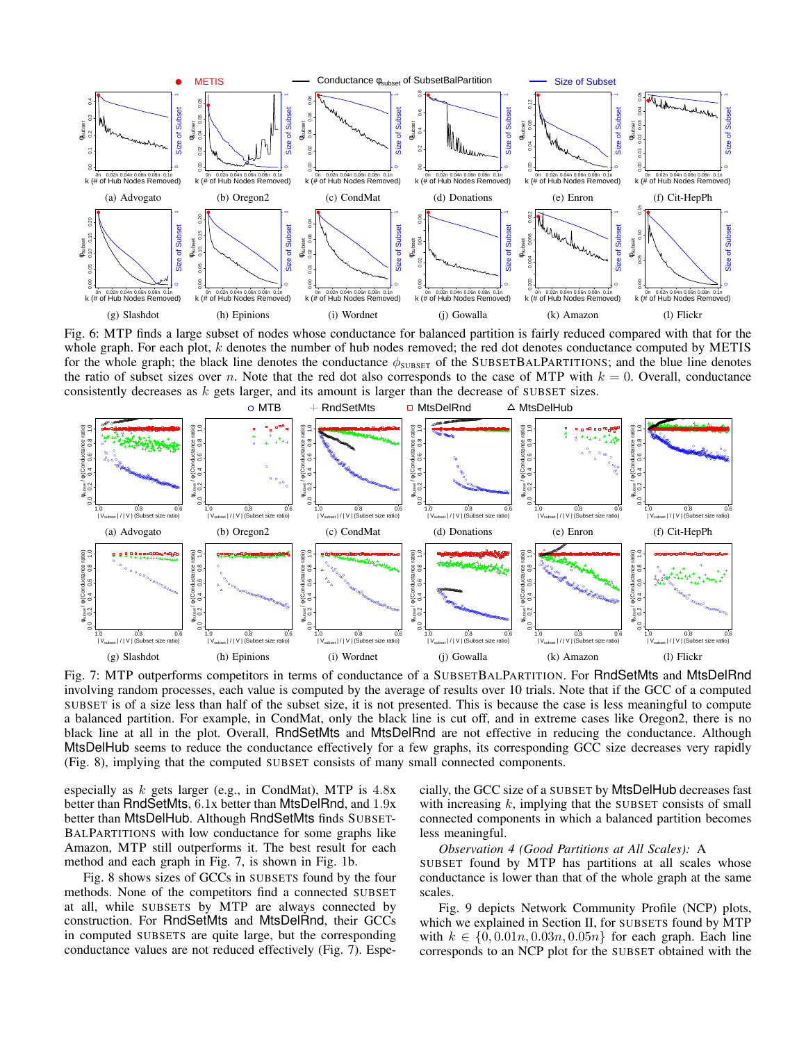

Fig. 6: MTP finds a large subset of nodes whose conductance for balanced partition is fairly reduced compared with that for the whole graph. For each plot,  $k$  denotes the number of hub nodes removed; the red dot denotes conductance computed by METIS for the whole graph; the black line denotes the conductance  $\phi_{\text{SUBSET}}$  of the SUBSETBALPARTITIONS; and the blue line denotes the ratio of subset sizes over n. Note that the red dot also corresponds to the case of MTP with  $k = 0$ . Overall, conductance consistently decreases as  $k$  gets larger, and its amount is larger than the decrease of SUBSET sizes.



Fig. 7: MTP outperforms competitors in terms of conductance of a SUBSETBALPARTITION. For RndSetMts and MtsDelRnd involving random processes, each value is computed by the average of results over 10 trials. Note that if the GCC of a computed SUBSET is of a size less than half of the subset size, it is not presented. This is because the case is less meaningful to compute a balanced partition. For example, in CondMat, only the black line is cut off, and in extreme cases like Oregon2, there is no black line at all in the plot. Overall, RndSetMts and MtsDelRnd are not effective in reducing the conductance. Although MtsDelHub seems to reduce the conductance effectively for a few graphs, its corresponding GCC size decreases very rapidly (Fig. 8), implying that the computed SUBSET consists of many small connected components.

especially as  $k$  gets larger (e.g., in CondMat), MTP is  $4.8x$ better than RndSetMts, 6.1x better than MtsDelRnd, and 1.9x better than MtsDelHub. Although RndSetMts finds SUBSET-BALPARTITIONS with low conductance for some graphs like Amazon, MTP still outperforms it. The best result for each method and each graph in Fig. 7, is shown in Fig. 1b.

Fig. 8 shows sizes of GCCs in SUBSETS found by the four methods. None of the competitors find a connected SUBSET at all, while SUBSETS by MTP are always connected by construction. For RndSetMts and MtsDelRnd, their GCCs in computed SUBSETS are quite large, but the corresponding conductance values are not reduced effectively (Fig. 7). Especially, the GCC size of a SUBSET by MtsDelHub decreases fast with increasing  $k$ , implying that the SUBSET consists of small connected components in which a balanced partition becomes less meaningful.

#### *Observation 4 (Good Partitions at All Scales):* A

SUBSET found by MTP has partitions at all scales whose conductance is lower than that of the whole graph at the same scales.

Fig. 9 depicts Network Community Profile (NCP) plots, which we explained in Section II, for SUBSETS found by MTP with  $k \in \{0, 0.01n, 0.03n, 0.05n\}$  for each graph. Each line corresponds to an NCP plot for the SUBSET obtained with the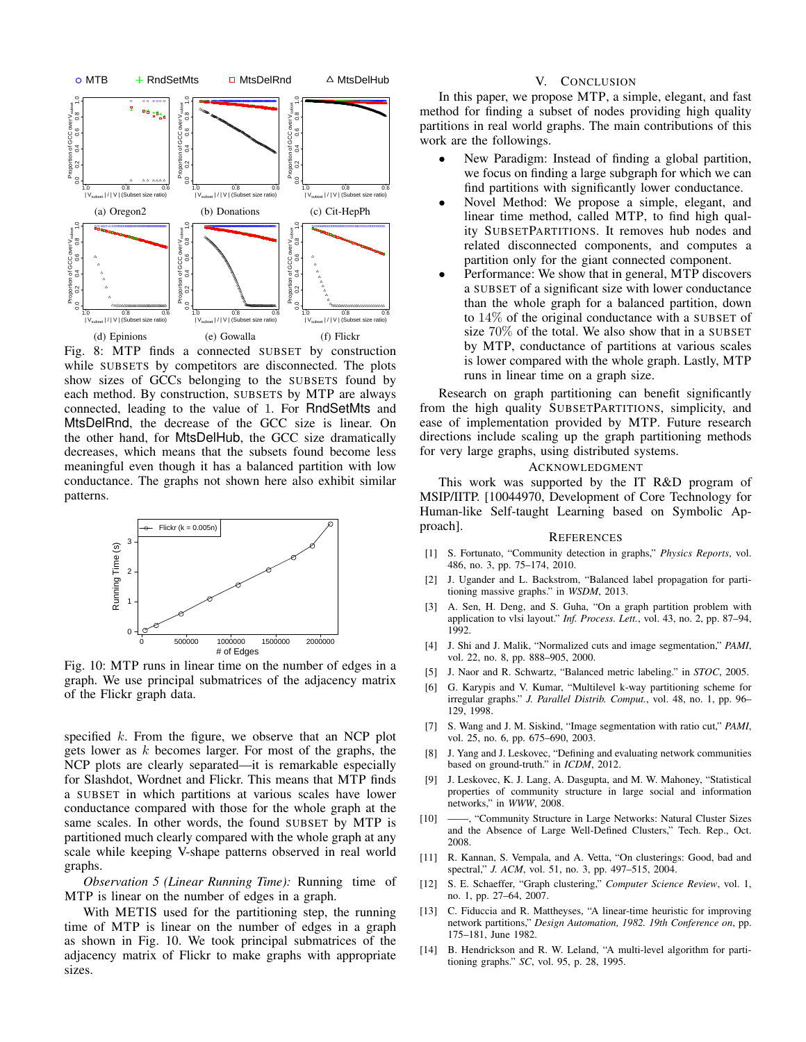

Fig. 8: MTP finds a connected SUBSET by construction while SUBSETS by competitors are disconnected. The plots show sizes of GCCs belonging to the SUBSETS found by each method. By construction, SUBSETS by MTP are always connected, leading to the value of 1. For RndSetMts and MtsDelRnd, the decrease of the GCC size is linear. On the other hand, for MtsDelHub, the GCC size dramatically decreases, which means that the subsets found become less meaningful even though it has a balanced partition with low conductance. The graphs not shown here also exhibit similar patterns.



Fig. 10: MTP runs in linear time on the number of edges in a graph. We use principal submatrices of the adjacency matrix of the Flickr graph data.

specified  $k$ . From the figure, we observe that an NCP plot gets lower as  $k$  becomes larger. For most of the graphs, the NCP plots are clearly separated—it is remarkable especially for Slashdot, Wordnet and Flickr. This means that MTP finds a SUBSET in which partitions at various scales have lower conductance compared with those for the whole graph at the same scales. In other words, the found SUBSET by MTP is partitioned much clearly compared with the whole graph at any scale while keeping V-shape patterns observed in real world graphs.

*Observation 5 (Linear Running Time):* Running time of MTP is linear on the number of edges in a graph.

With METIS used for the partitioning step, the running time of MTP is linear on the number of edges in a graph as shown in Fig. 10. We took principal submatrices of the adjacency matrix of Flickr to make graphs with appropriate sizes.

#### V. CONCLUSION

In this paper, we propose MTP, a simple, elegant, and fast method for finding a subset of nodes providing high quality partitions in real world graphs. The main contributions of this work are the followings.

- New Paradigm: Instead of finding a global partition, we focus on finding a large subgraph for which we can find partitions with significantly lower conductance.
- Novel Method: We propose a simple, elegant, and linear time method, called MTP, to find high quality SUBSETPARTITIONS. It removes hub nodes and related disconnected components, and computes a partition only for the giant connected component.
- Performance: We show that in general, MTP discovers a SUBSET of a significant size with lower conductance than the whole graph for a balanced partition, down to 14% of the original conductance with a SUBSET of size 70% of the total. We also show that in a SUBSET by MTP, conductance of partitions at various scales is lower compared with the whole graph. Lastly, MTP runs in linear time on a graph size.

Research on graph partitioning can benefit significantly from the high quality SUBSETPARTITIONS, simplicity, and ease of implementation provided by MTP. Future research directions include scaling up the graph partitioning methods for very large graphs, using distributed systems.

#### ACKNOWLEDGMENT

This work was supported by the IT R&D program of MSIP/IITP. [10044970, Development of Core Technology for Human-like Self-taught Learning based on Symbolic Approach].

#### **REFERENCES**

- [1] S. Fortunato, "Community detection in graphs," *Physics Reports*, vol. 486, no. 3, pp. 75–174, 2010.
- [2] J. Ugander and L. Backstrom, "Balanced label propagation for partitioning massive graphs." in *WSDM*, 2013.
- [3] A. Sen, H. Deng, and S. Guha, "On a graph partition problem with application to vlsi layout." *Inf. Process. Lett.*, vol. 43, no. 2, pp. 87–94, 1992.
- [4] J. Shi and J. Malik, "Normalized cuts and image segmentation," *PAMI*, vol. 22, no. 8, pp. 888–905, 2000.
- [5] J. Naor and R. Schwartz, "Balanced metric labeling." in *STOC*, 2005.
- [6] G. Karypis and V. Kumar, "Multilevel k-way partitioning scheme for irregular graphs." *J. Parallel Distrib. Comput.*, vol. 48, no. 1, pp. 96– 129, 1998.
- [7] S. Wang and J. M. Siskind, "Image segmentation with ratio cut," *PAMI*, vol. 25, no. 6, pp. 675–690, 2003.
- [8] J. Yang and J. Leskovec, "Defining and evaluating network communities based on ground-truth." in *ICDM*, 2012.
- [9] J. Leskovec, K. J. Lang, A. Dasgupta, and M. W. Mahoney, "Statistical properties of community structure in large social and information networks," in *WWW*, 2008.
- [10] ——, "Community Structure in Large Networks: Natural Cluster Sizes and the Absence of Large Well-Defined Clusters," Tech. Rep., Oct. 2008.
- [11] R. Kannan, S. Vempala, and A. Vetta, "On clusterings: Good, bad and spectral," *J. ACM*, vol. 51, no. 3, pp. 497–515, 2004.
- [12] S. E. Schaeffer, "Graph clustering," *Computer Science Review*, vol. 1, no. 1, pp. 27–64, 2007.
- [13] C. Fiduccia and R. Mattheyses, "A linear-time heuristic for improving network partitions," *Design Automation, 1982. 19th Conference on*, pp. 175–181, June 1982.
- [14] B. Hendrickson and R. W. Leland, "A multi-level algorithm for partitioning graphs." *SC*, vol. 95, p. 28, 1995.